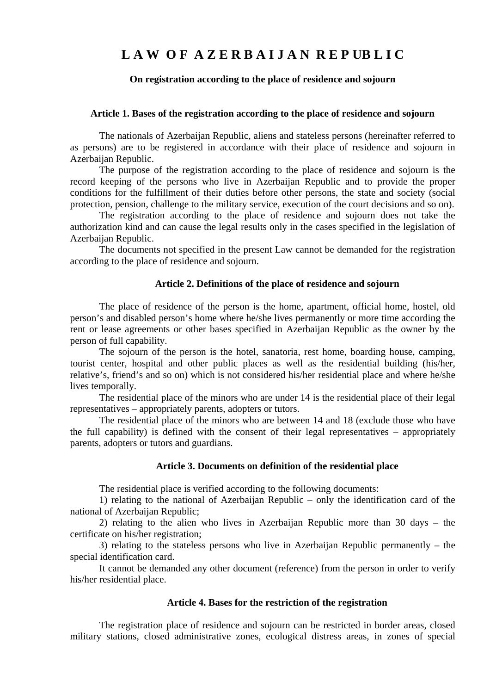# L A W OF A Z E R B A I J A N R E P UB L I C

## **On registration according to the place of residence and sojourn**

#### **Article 1. Bases of the registration according to the place of residence and sojourn**

The nationals of Azerbaijan Republic, aliens and stateless persons (hereinafter referred to as persons) are to be registered in accordance with their place of residence and sojourn in Azerbaijan Republic.

The purpose of the registration according to the place of residence and sojourn is the record keeping of the persons who live in Azerbaijan Republic and to provide the proper conditions for the fulfillment of their duties before other persons, the state and society (social protection, pension, challenge to the military service, execution of the court decisions and so on).

The registration according to the place of residence and sojourn does not take the authorization kind and can cause the legal results only in the cases specified in the legislation of Azerbaijan Republic.

The documents not specified in the present Law cannot be demanded for the registration according to the place of residence and sojourn.

#### **Article 2. Definitions of the place of residence and sojourn**

The place of residence of the person is the home, apartment, official home, hostel, old person's and disabled person's home where he/she lives permanently or more time according the rent or lease agreements or other bases specified in Azerbaijan Republic as the owner by the person of full capability.

The sojourn of the person is the hotel, sanatoria, rest home, boarding house, camping, tourist center, hospital and other public places as well as the residential building (his/her, relative's, friend's and so on) which is not considered his/her residential place and where he/she lives temporally.

The residential place of the minors who are under 14 is the residential place of their legal representatives – appropriately parents, adopters or tutors.

The residential place of the minors who are between 14 and 18 (exclude those who have the full capability) is defined with the consent of their legal representatives – appropriately parents, adopters or tutors and guardians.

#### **Article 3. Documents on definition of the residential place**

The residential place is verified according to the following documents:

1) relating to the national of Azerbaijan Republic – only the identification card of the national of Azerbaijan Republic;

2) relating to the alien who lives in Azerbaijan Republic more than 30 days – the certificate on his/her registration;

3) relating to the stateless persons who live in Azerbaijan Republic permanently – the special identification card.

It cannot be demanded any other document (reference) from the person in order to verify his/her residential place.

# **Article 4. Bases for the restriction of the registration**

The registration place of residence and sojourn can be restricted in border areas, closed military stations, closed administrative zones, ecological distress areas, in zones of special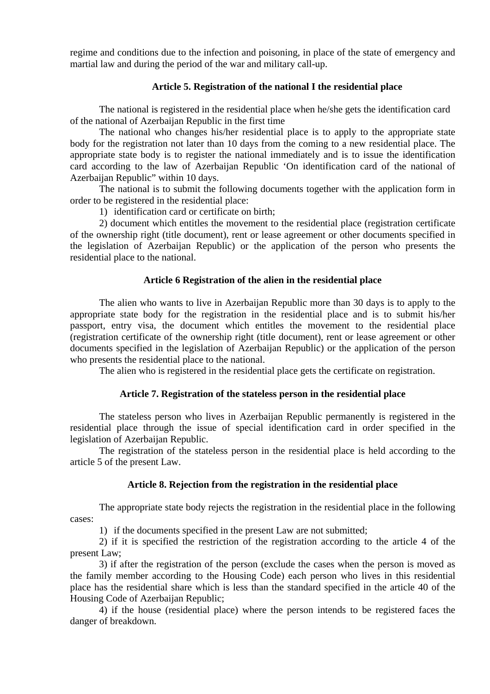regime and conditions due to the infection and poisoning, in place of the state of emergency and martial law and during the period of the war and military call-up.

# **Article 5. Registration of the national I the residential place**

The national is registered in the residential place when he/she gets the identification card of the national of Azerbaijan Republic in the first time

The national who changes his/her residential place is to apply to the appropriate state body for the registration not later than 10 days from the coming to a new residential place. The appropriate state body is to register the national immediately and is to issue the identification card according to the law of Azerbaijan Republic 'On identification card of the national of Azerbaijan Republic" within 10 days.

The national is to submit the following documents together with the application form in order to be registered in the residential place:

1) identification card or certificate on birth;

2) document which entitles the movement to the residential place (registration certificate of the ownership right (title document), rent or lease agreement or other documents specified in the legislation of Azerbaijan Republic) or the application of the person who presents the residential place to the national.

# **Article 6 Registration of the alien in the residential place**

 The alien who wants to live in Azerbaijan Republic more than 30 days is to apply to the appropriate state body for the registration in the residential place and is to submit his/her passport, entry visa, the document which entitles the movement to the residential place (registration certificate of the ownership right (title document), rent or lease agreement or other documents specified in the legislation of Azerbaijan Republic) or the application of the person who presents the residential place to the national.

The alien who is registered in the residential place gets the certificate on registration.

# **Article 7. Registration of the stateless person in the residential place**

 The stateless person who lives in Azerbaijan Republic permanently is registered in the residential place through the issue of special identification card in order specified in the legislation of Azerbaijan Republic.

 The registration of the stateless person in the residential place is held according to the article 5 of the present Law.

# **Article 8. Rejection from the registration in the residential place**

 The appropriate state body rejects the registration in the residential place in the following cases:

1) if the documents specified in the present Law are not submitted;

2) if it is specified the restriction of the registration according to the article 4 of the present Law;

3) if after the registration of the person (exclude the cases when the person is moved as the family member according to the Housing Code) each person who lives in this residential place has the residential share which is less than the standard specified in the article 40 of the Housing Code of Azerbaijan Republic;

4) if the house (residential place) where the person intends to be registered faces the danger of breakdown.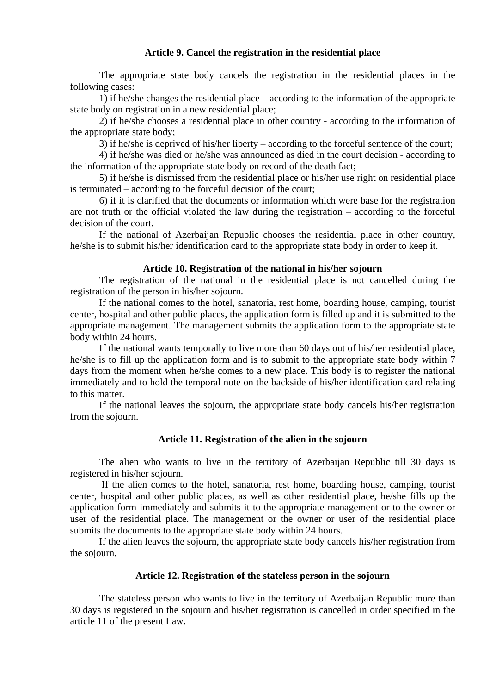## **Article 9. Cancel the registration in the residential place**

 The appropriate state body cancels the registration in the residential places in the following cases:

 1) if he/she changes the residential place – according to the information of the appropriate state body on registration in a new residential place;

 2) if he/she chooses a residential place in other country - according to the information of the appropriate state body;

3) if he/she is deprived of his/her liberty – according to the forceful sentence of the court;

 4) if he/she was died or he/she was announced as died in the court decision - according to the information of the appropriate state body on record of the death fact;

 5) if he/she is dismissed from the residential place or his/her use right on residential place is terminated – according to the forceful decision of the court;

 6) if it is clarified that the documents or information which were base for the registration are not truth or the official violated the law during the registration – according to the forceful decision of the court.

 If the national of Azerbaijan Republic chooses the residential place in other country, he/she is to submit his/her identification card to the appropriate state body in order to keep it.

#### **Article 10. Registration of the national in his/her sojourn**

 The registration of the national in the residential place is not cancelled during the registration of the person in his/her sojourn.

 If the national comes to the hotel, sanatoria, rest home, boarding house, camping, tourist center, hospital and other public places, the application form is filled up and it is submitted to the appropriate management. The management submits the application form to the appropriate state body within 24 hours.

 If the national wants temporally to live more than 60 days out of his/her residential place, he/she is to fill up the application form and is to submit to the appropriate state body within 7 days from the moment when he/she comes to a new place. This body is to register the national immediately and to hold the temporal note on the backside of his/her identification card relating to this matter.

 If the national leaves the sojourn, the appropriate state body cancels his/her registration from the sojourn.

## **Article 11. Registration of the alien in the sojourn**

 The alien who wants to live in the territory of Azerbaijan Republic till 30 days is registered in his/her sojourn.

 If the alien comes to the hotel, sanatoria, rest home, boarding house, camping, tourist center, hospital and other public places, as well as other residential place, he/she fills up the application form immediately and submits it to the appropriate management or to the owner or user of the residential place. The management or the owner or user of the residential place submits the documents to the appropriate state body within 24 hours.

 If the alien leaves the sojourn, the appropriate state body cancels his/her registration from the sojourn.

## **Article 12. Registration of the stateless person in the sojourn**

 The stateless person who wants to live in the territory of Azerbaijan Republic more than 30 days is registered in the sojourn and his/her registration is cancelled in order specified in the article 11 of the present Law.